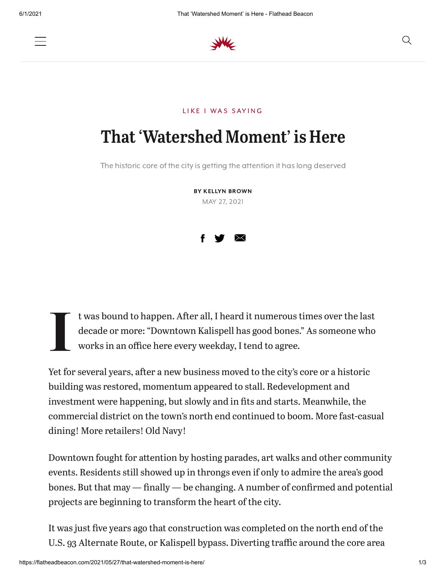

## LIKE I WAS SAYING

## That 'Watershed Moment' is Here

The historic core of the city is getting the attention it has long deserved

BY KELLYN BROWN MAY 27, 2021



 $\prod$ t was bound to happen. After all, I heard it numerous times over the last decade or more: "Downtown Kalispell has good bones." As someone who works in an office here every weekday, I tend to agree.

Yet for several years, after a new business moved to the city's core or a historic building was restored, momentum appeared to stall. Redevelopment and investment were happening, but slowly and in fits and starts. Meanwhile, the commercial district on the town's north end continued to boom. More fast-casual dining! More retailers! Old Navy!

Downtown fought for attention by hosting parades, art walks and other community events. Residents still showed up in throngs even if only to admire the area's good bones. But that may  $-$  finally  $-$  be changing. A number of confirmed and potential projects are beginning to transform the heart of the city.

It was just five years ago that construction was completed on the north end of the U.S. 93 Alternate Route, or Kalispell bypass. Diverting traffic around the core area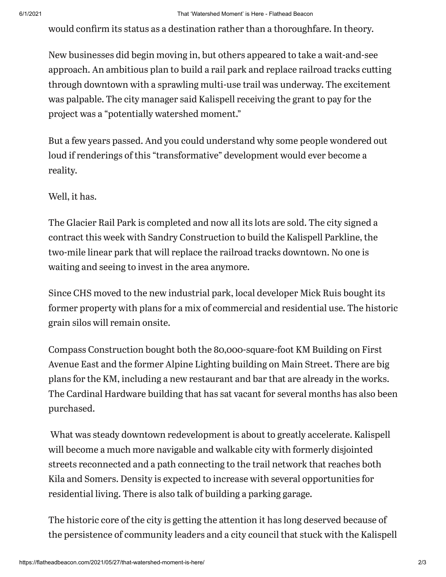would confirm its status as a destination rather than a thoroughfare. In theory.

New businesses did begin moving in, but others appeared to take a wait-and-see approach. An ambitious plan to build a rail park and replace railroad tracks cutting through downtown with a sprawling multi-use trail was underway. The excitement was palpable. The city manager said Kalispell receiving the grant to pay for the project was a "potentially watershed moment."

But a few years passed. And you could understand why some people wondered out loud if renderings of this "transformative" development would ever become a reality.

Well, it has.

The Glacier Rail Park is completed and now all its lots are sold. The city signed a contract this week with Sandry Construction to build the Kalispell Parkline, the two-mile linear park that will replace the railroad tracks downtown. No one is waiting and seeing to invest in the area anymore.

Since CHS moved to the new industrial park, local developer Mick Ruis bought its former property with plans for a mix of commercial and residential use. The historic grain silos will remain onsite.

Compass Construction bought both the 80,000-square-foot KM Building on First Avenue East and the former Alpine Lighting building on Main Street. There are big plans for the KM, including a new restaurant and bar that are already in the works. The Cardinal Hardware building that has sat vacant for several months has also been purchased.

What was steady downtown redevelopment is about to greatly accelerate. Kalispell will become a much more navigable and walkable city with formerly disjointed streets reconnected and a path connecting to the trail network that reaches both Kila and Somers. Density is expected to increase with several opportunities for residential living. There is also talk of building a parking garage.

The historic core of the city is getting the attention it has long deserved because of the persistence of community leaders and a city council that stuck with the Kalispell